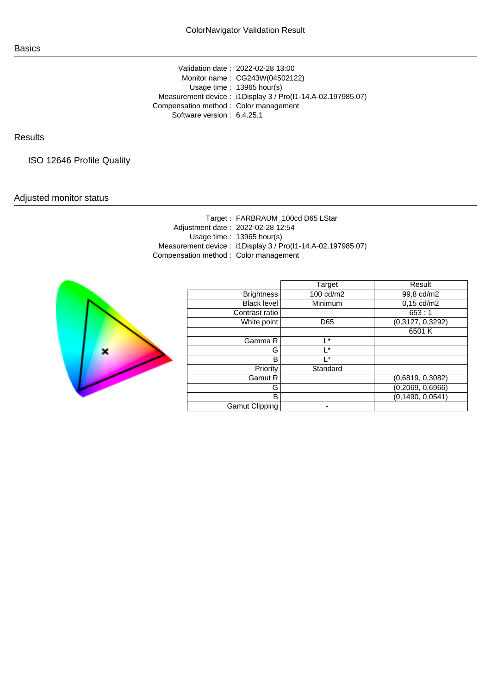Validation date : 2022-02-28 13:00 Monitor name : CG243W(04502122) Usage time : 13965 hour(s) Measurement device : i1Display 3 / Pro(I1-14.A-02.197985.07) Compensation method : Color management Software version : 6.4.25.1

## **Results**

ISO 12646 Profile Quality

## Adjusted monitor status

|                                       | Target: FARBRAUM_100cd D65 LStar                            |
|---------------------------------------|-------------------------------------------------------------|
|                                       | Adjustment date: 2022-02-28 12:54                           |
|                                       | Usage time: $13965$ hour(s)                                 |
|                                       | Measurement device: i1Display 3 / Pro(I1-14.A-02.197985.07) |
| Compensation method: Color management |                                                             |
|                                       |                                                             |



|                    | Target    | Result               |
|--------------------|-----------|----------------------|
| <b>Brightness</b>  | 100 cd/m2 | 99,8 cd/m2           |
| <b>Black level</b> | Minimum   | $0,15 \text{ cd/m2}$ |
| Contrast ratio     |           | 653:1                |
| White point        | D65       | (0,3127, 0,3292)     |
|                    |           | 6501K                |
| Gamma R            | I*        |                      |
| G                  | l *       |                      |
| В                  | l*        |                      |
| Priority           | Standard  |                      |
| Gamut R            |           | (0,6819, 0,3082)     |
| G                  |           | (0, 2069, 0, 6966)   |
| B                  |           | (0, 1490, 0, 0541)   |
| Gamut Clipping     |           |                      |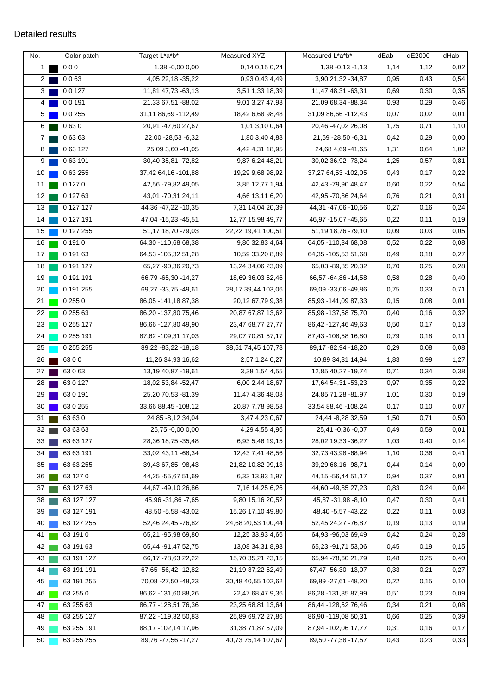| No.             | Color patch  | Target L*a*b*            | Measured XYZ          | Measured L*a*b*        | dEab | dE2000 | dHab  |
|-----------------|--------------|--------------------------|-----------------------|------------------------|------|--------|-------|
| 1               | 000          | 1,38 -0,00 0,00          | 0,14 0,15 0,24        | $1,38 - 0,13 - 1,13$   | 1,14 | 1,12   | 0,02  |
| $\overline{c}$  | 0063         | 4,05 22,18 - 35,22       | 0,93 0,43 4,49        | 3,90 21,32 - 34,87     | 0,95 | 0,43   | 0,54  |
| 3 <sup>1</sup>  | 0 0 1 2 7    | 11,81 47,73 -63,13       | 3,51 1,33 18,39       | 11,47 48,31 -63,31     | 0,69 | 0,30   | 0,35  |
| 4               | 00191        | 21,33 67,51 -88,02       | 9,01 3,27 47,93       | 21,09 68,34 -88,34     | 0,93 | 0,29   | 0,46  |
| 5               | 0 0 255      | 31,11 86,69 - 112,49     | 18,42 6,68 98,48      | 31,09 86,66 - 112,43   | 0,07 | 0,02   | 0,01  |
| 6               | 0630         | 20,91 -47,60 27,67       | 1,01 3,10 0,64        | 20,46 -47,02 26,08     | 1,75 | 0,71   | 1,10  |
| $\overline{7}$  | 06363        | 22,00 - 28,53 - 6,32     | 1,80 3,40 4,88        | 21,59 - 28,50 - 6,31   | 0,42 | 0,29   | 0,00  |
| 8               | 063127       | 25,09 3,60 -41,05        | 4,42 4,31 18,95       | 24,68 4,69 -41,65      | 1,31 | 0,64   | 1,02  |
| 9 <sup>°</sup>  | 063191       | 30,40 35,81 -72,82       | 9,87 6,24 48,21       | 30,02 36,92 -73,24     | 1,25 | 0,57   | 0,81  |
| 10 <sup>1</sup> | 063255       | 37,42 64,16 -101,88      | 19,29 9,68 98,92      | 37,27 64,53 -102,05    | 0,43 | 0,17   | 0,22  |
| 11              | 0 1 2 7 0    | 42,56 -79,82 49,05       | 3,85 12,77 1,94       | 42,43 -79,90 48,47     | 0,60 | 0,22   | 0,54  |
| 12              | 0 127 63     | 43,01 - 70,31 24,11      | 4,66 13,11 6,20       | 42,95 -70,86 24,64     | 0,76 | 0,21   | 0,31  |
| 13              | 0 127 127    | 44, 36 - 47, 22 - 10, 35 | 7,31 14,04 20,39      | 44,31 -47,06 -10,56    | 0,27 | 0,16   | 0,24  |
| 14              | 0 127 191    | 47,04 - 15,23 - 45,51    | 12,77 15,98 49,77     | 46,97 - 15,07 - 45,65  | 0,22 | 0,11   | 0, 19 |
| 15              | 0 127 255    | 51,17 18,70 -79,03       | 22,22 19,41 100,51    | 51, 19 18, 76 - 79, 10 | 0,09 | 0,03   | 0,05  |
| 16              | 0 191 0      | 64,30 -110,68 68,38      | 9,80 32,83 4,64       | 64,05 -110,34 68,08    | 0,52 | 0,22   | 0,08  |
| 17              | 0 191 63     | 64,53 -105,32 51,28      | 10,59 33,20 8,89      | 64,35 -105,53 51,68    | 0,49 | 0,18   | 0,27  |
| 18              | 0 191 127    | 65,27 -90,36 20,73       | 13,24 34,06 23,09     | 65,03 -89,85 20,32     | 0,70 | 0,25   | 0,28  |
| 19              | 0 191 191    | 66,79 - 65,30 - 14,27    | 18,69 36,03 52,46     | 66,57 - 64,86 - 14,58  | 0,58 | 0,28   | 0,40  |
| 20              | 0 191 255    | 69,27 - 33,75 - 49,61    | 28, 17 39, 44 103, 06 | 69,09 - 33,06 - 49,86  | 0,75 | 0,33   | 0,71  |
| 21              | 0 255 0      | 86,05 - 141,18 87,38     | 20,12 67,79 9,38      | 85,93 - 141,09 87,33   | 0,15 | 0,08   | 0,01  |
| 22              | 0 255 63     | 86,20 -137,80 75,46      | 20,87 67,87 13,62     | 85,98 -137,58 75,70    | 0,40 | 0, 16  | 0,32  |
| 23              | 0 255 127    | 86,66 -127,80 49,90      | 23,47 68,77 27,77     | 86,42 -127,46 49,63    | 0,50 | 0,17   | 0,13  |
| 24              | 0 255 191    | 87,62 - 109,31 17,03     | 29,07 70,81 57,17     | 87,43 -108,58 16,80    | 0,79 | 0,18   | 0,11  |
| 25              | 0 255 255    | 89,22 - 83,22 - 18,18    | 38,51 74,45 107,78    | 89,17 - 82,94 - 18,20  | 0,29 | 0,08   | 0,08  |
| 26              | 6300         | 11,26 34,93 16,62        | 2,57 1,24 0,27        | 10,89 34,31 14,94      | 1,83 | 0,99   | 1,27  |
| 27              | 63063        | 13,19 40,87 - 19,61      | 3,38 1,54 4,55        | 12,85 40,27 - 19,74    | 0,71 | 0,34   | 0,38  |
| 28              | 63 0 127     | 18,02 53,84 -52,47       | 6,00 2,44 18,67       | 17,64 54,31 -53,23     | 0,97 | 0,35   | 0,22  |
| 29              | 630191       | 25,20 70,53 -81,39       | 11,47 4,36 48,03      | 24,85 71,28 -81,97     | 1,01 | 0,30   | 0,19  |
| 30              | 63 0 255     | 33,66 88,45 - 108,12     | 20,87 7,78 98,53      | 33,54 88,46 - 108,24   | 0,17 | 0,10   | 0,07  |
| 31              | 63 63 0<br>Ξ | 24,85 - 8,12 34,04       | 3,47 4,23 0,67        | 24,44 - 8,28 32,59     | 1,50 | 0,71   | 0,50  |
| 32              | 63 63 63     | 25,75 -0,00 0,00         | 4,29 4,55 4,96        | 25,41 -0,36 -0,07      | 0,49 | 0,59   | 0,01  |
| 33              | 63 63 127    | 28,36 18,75 - 35,48      | 6,93 5,46 19,15       | 28,02 19,33 - 36,27    | 1,03 | 0,40   | 0,14  |
| 34              | 63 63 191    | 33,02 43,11 -68,34       | 12,43 7,41 48,56      | 32,73 43,98 -68,94     | 1,10 | 0,36   | 0,41  |
| 35              | 63 63 255    | 39,43 67,85 - 98,43      | 21,82 10,82 99,13     | 39,29 68,16 - 98,71    | 0,44 | 0,14   | 0,09  |
| 36              | 63 127 0     | 44,25 -55,67 51,69       | 6,33 13,93 1,97       | 44, 15 - 56, 44 51, 17 | 0,94 | 0,37   | 0,91  |
| 37              | 63 127 63    | 44,67 - 49,10 26,86      | 7,16 14,25 6,26       | 44,60 - 49,85 27,23    | 0,83 | 0,24   | 0,04  |
| 38              | 63 127 127   | 45,96 - 31,86 - 7,65     | 9,80 15,16 20,52      | 45,87 - 31,98 - 8,10   | 0,47 | 0,30   | 0,41  |
| 39              | 63 127 191   | 48,50 - 5,58 - 43,02     | 15,26 17,10 49,80     | 48,40 - 5,57 - 43,22   | 0,22 | 0,11   | 0,03  |
| 40              | 63 127 255   | 52,46 24,45 -76,82       | 24,68 20,53 100,44    | 52,45 24,27 -76,87     | 0,19 | 0,13   | 0,19  |
| 41              | 63 191 0     | 65,21 - 95,98 69,80      | 12,25 33,93 4,66      | 64,93 - 96,03 69,49    | 0,42 | 0,24   | 0,28  |
| 42              | 63 191 63    | 65,44 - 91,47 52,75      | 13,08 34,31 8,93      | 65,23 - 91,71 53,06    | 0,45 | 0,19   | 0,15  |
| 43              | 63 191 127   | 66, 17 - 78, 63 22, 22   | 15,70 35,21 23,15     | 65,94 -78,60 21,79     | 0,48 | 0,25   | 0,40  |
| 44              | 63 191 191   | 67,65 - 56,42 - 12,82    | 21, 19 37, 22 52, 49  | 67,47 - 56,30 - 13,07  | 0,33 | 0,21   | 0,27  |
| 45              | 63 191 255   | 70,08 - 27,50 - 48,23    | 30,48 40,55 102,62    | 69,89 - 27,61 - 48,20  | 0,22 | 0,15   | 0,10  |
| 46              | 63 255 0     | 86,62 - 131,60 88,26     | 22,47 68,47 9,36      | 86,28 -131,35 87,99    | 0,51 | 0,23   | 0,09  |
| 47              | 63 255 63    | 86,77 - 128,51 76,36     | 23,25 68,81 13,64     | 86,44 -128,52 76,46    | 0,34 | 0,21   | 0,08  |
| 48              | 63 255 127   | 87,22 -119,32 50,83      | 25,89 69,72 27,86     | 86,90 -119,08 50,31    | 0,66 | 0,25   | 0,39  |
| 49              | 63 255 191   | 88, 17 - 102, 14 17, 96  | 31,38 71,87 57,09     | 87,94 -102,06 17,77    | 0,31 | 0,16   | 0,17  |
| 50              | 63 255 255   | 89,76 -77,56 -17,27      | 40,73 75,14 107,67    | 89,50 - 77,38 - 17,57  | 0,43 | 0,23   | 0,33  |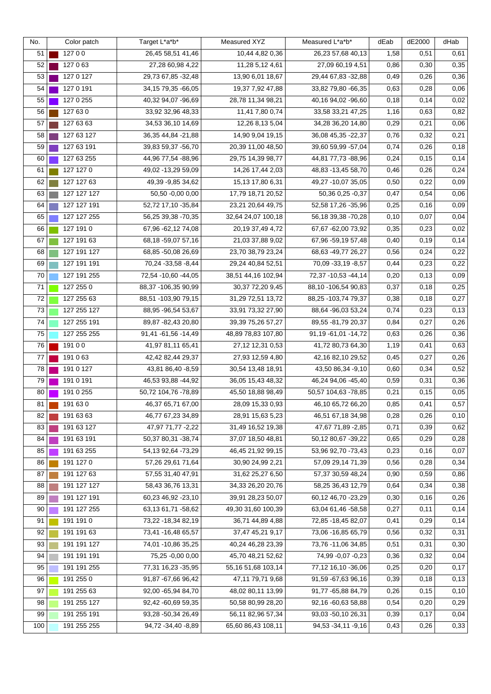| No. | Color patch | Target L*a*b*          | Measured XYZ          | Measured L*a*b*        | dEab | dE2000 | dHab |
|-----|-------------|------------------------|-----------------------|------------------------|------|--------|------|
| 51  | 12700       | 26,45 58,51 41,46      | 10,44 4,82 0,36       | 26,23 57,68 40,13      | 1,58 | 0,51   | 0,61 |
| 52  | 127 0 63    | 27,28 60,98 4,22       | 11,28 5,12 4,61       | 27,09 60,19 4,51       | 0,86 | 0,30   | 0,35 |
| 53  | 127 0 127   | 29,73 67,85 - 32,48    | 13,90 6,01 18,67      | 29,44 67,83 - 32,88    | 0,49 | 0,26   | 0,36 |
| 54  | 127 0 191   | 34, 15 79, 35 - 66, 05 | 19,37 7,92 47,88      | 33,82 79,80 - 66,35    | 0,63 | 0,28   | 0,06 |
| 55  | 127 0 255   | 40,32 94,07 - 96,69    | 28,78 11,34 98,21     | 40,16 94,02 - 96,60    | 0,18 | 0,14   | 0,02 |
| 56  | 127 63 0    | 33,92 32,96 48,33      | 11,41 7,80 0,74       | 33,58 33,21 47,25      | 1,16 | 0,63   | 0,82 |
| 57  | 127 63 63   | 34,53 36,10 14,69      | 12,26 8,13 5,04       | 34,28 36,20 14,80      | 0,29 | 0,21   | 0,06 |
| 58  | 127 63 127  | 36, 35 44, 84 - 21, 88 | 14,90 9,04 19,15      | 36,08 45,35 - 22,37    | 0,76 | 0,32   | 0,21 |
| 59  | 127 63 191  | 39,83 59,37 - 56,70    | 20,39 11,00 48,50     | 39,60 59,99 - 57,04    | 0,74 | 0,26   | 0,18 |
| 60  | 127 63 255  | 44,96 77,54 -88,96     | 29,75 14,39 98,77     | 44,81 77,73 -88,96     | 0,24 | 0,15   | 0,14 |
| 61  | 127 127 0   | 49,02 - 13,29 59,09    | 14,26 17,44 2,03      | 48,83 - 13,45 58,70    | 0,46 | 0,26   | 0,24 |
| 62  | 127 127 63  | 49,39 - 9,85 34,62     | 15,13 17,80 6,31      | 49,27 -10,07 35,05     | 0,50 | 0,22   | 0,09 |
| 63  | 127 127 127 | 50,50 -0,00 0,00       | 17,79 18,71 20,52     | 50,36 0,25 -0,37       | 0,47 | 0,54   | 0,06 |
| 64  | 127 127 191 | 52,72 17,10 - 35,84    | 23,21 20,64 49,75     | 52,58 17,26 - 35,96    | 0,25 | 0,16   | 0,09 |
| 65  | 127 127 255 | 56,25 39,38 -70,35     | 32,64 24,07 100,18    | 56, 18 39, 38 - 70, 28 | 0,10 | 0,07   | 0,04 |
| 66  | 127 191 0   | 67,96 - 62,12 74,08    | 20,19 37,49 4,72      | 67,67 - 62,00 73,92    | 0,35 | 0,23   | 0,02 |
| 67  | 127 191 63  | 68,18 -59,07 57,16     | 21,03 37,88 9,02      | 67,96 -59,19 57,48     | 0,40 | 0,19   | 0,14 |
| 68  | 127 191 127 | 68,85 -50,08 26,69     | 23,70 38,79 23,24     | 68,63 - 49,77 26,27    | 0,56 | 0,24   | 0,22 |
| 69  | 127 191 191 | 70,24 -33,58 -8,44     | 29,24 40,84 52,51     | 70,09 - 33,19 - 8,57   | 0,44 | 0,23   | 0,22 |
| 70  | 127 191 255 | 72,54 - 10,60 - 44,05  | 38,51 44,16 102,94    | 72,37 - 10,53 - 44,14  | 0,20 | 0,13   | 0,09 |
| 71  | 127 255 0   | 88,37 -106,35 90,99    | 30,37 72,20 9,45      | 88,10 -106,54 90,83    | 0,37 | 0,18   | 0,25 |
| 72  | 127 255 63  | 88,51 -103,90 79,15    | 31,29 72,51 13,72     | 88,25 - 103,74 79,37   | 0,38 | 0,18   | 0,27 |
| 73  | 127 255 127 | 88,95 - 96,54 53,67    | 33,91 73,32 27,90     | 88,64 - 96,03 53,24    | 0,74 | 0,23   | 0,13 |
| 74  | 127 255 191 | 89,87 - 82,43 20,80    | 39,39 75,26 57,27     | 89,55 - 81,79 20,37    | 0,84 | 0,27   | 0,26 |
| 75  | 127 255 255 | 91,41 -61,56 -14,49    | 48,89 78,83 107,80    | 91,19 - 61,01 - 14,72  | 0,63 | 0,26   | 0,36 |
| 76  | 19100       | 41,97 81,11 65,41      | 27,12 12,31 0,53      | 41,72 80,73 64,30      | 1,19 | 0,41   | 0,63 |
| 77  | 191 0 63    | 42,42 82,44 29,37      | 27,93 12,59 4,80      | 42,16 82,10 29,52      | 0,45 | 0,27   | 0,26 |
| 78  | 191 0 127   | 43,81 86,40 - 8,59     | 30,54 13,48 18,91     | 43,50 86,34 - 9,10     | 0,60 | 0,34   | 0,52 |
| 79  | 191 0 191   | 46,53 93,88 -44,92     | 36,05 15,43 48,32     | 46,24 94,06 -45,40     | 0,59 | 0,31   | 0,36 |
| 80  | 191 0 255   | 50,72 104,76 -78,89    | 45,50 18,88 98,49     | 50,57 104,63 -78,85    | 0,21 | 0, 15  | 0,05 |
| 81  | 191 63 0    | 46,37 65,71 67,00      | 28,09 15,33 0,93      | 46,10 65,72 66,20      | 0,85 | 0,41   | 0,57 |
| 82  | 191 63 63   | 46,77 67,23 34,89      | 28,91 15,63 5,23      | 46,51 67,18 34,98      | 0,28 | 0,26   | 0,10 |
| 83  | 191 63 127  | 47,97 71,77 -2,22      | 31,49 16,52 19,38     | 47,67 71,89 - 2,85     | 0,71 | 0,39   | 0,62 |
| 84  | 191 63 191  | 50,37 80,31 -38,74     | 37,07 18,50 48,81     | 50,12 80,67 - 39,22    | 0,65 | 0,29   | 0,28 |
| 85  | 191 63 255  | 54, 13 92, 64 - 73, 29 | 46,45 21,92 99,15     | 53,96 92,70 -73,43     | 0,23 | 0,16   | 0,07 |
| 86  | 191 127 0   | 57,26 29,61 71,64      | 30,90 24,99 2,21      | 57,09 29,14 71,39      | 0,56 | 0,28   | 0,34 |
| 87  | 191 127 63  | 57,55 31,40 47,91      | 31,62 25,27 6,50      | 57,37 30,59 48,24      | 0,90 | 0,59   | 0,86 |
| 88  | 191 127 127 | 58,43 36,76 13,31      | 34,33 26,20 20,76     | 58,25 36,43 12,79      | 0,64 | 0,34   | 0,38 |
| 89  | 191 127 191 | 60,23 46,92 -23,10     | 39,91 28,23 50,07     | 60,12 46,70 -23,29     | 0,30 | 0,16   | 0,26 |
| 90  | 191 127 255 | 63,13 61,71 -58,62     | 49,30 31,60 100,39    | 63,04 61,46 -58,58     | 0,27 | 0,11   | 0,14 |
| 91  | 191 191 0   | 73,22 - 18,34 82,19    | 36,71 44,89 4,88      | 72,85 - 18,45 82,07    | 0,41 | 0,29   | 0,14 |
| 92  | 191 191 63  | 73,41 - 16,48 65,57    | 37,47 45,21 9,17      | 73,06 - 16,85 65,79    | 0,56 | 0,32   | 0,31 |
| 93  | 191 191 127 | 74,01 - 10,86 35,25    | 40,24 46,28 23,39     | 73,76 - 11,06 34,85    | 0,51 | 0,31   | 0,30 |
| 94  | 191 191 191 | 75,25 -0,00 0,00       | 45,70 48,21 52,62     | 74,99 -0,07 -0,23      | 0,36 | 0,32   | 0,04 |
| 95  | 191 191 255 | 77,31 16,23 - 35,95    | 55, 16 51, 68 103, 14 | 77,12 16,10 - 36,06    | 0,25 | 0,20   | 0,17 |
| 96  | 191 255 0   | 91,87 - 67,66 96,42    | 47,11 79,71 9,68      | 91,59 -67,63 96,16     | 0,39 | 0,18   | 0,13 |
| 97  | 191 255 63  | 92,00 - 65,94 84,70    | 48,02 80,11 13,99     | 91,77 - 65,88 84,79    | 0,26 | 0, 15  | 0,10 |
| 98  | 191 255 127 | 92,42 -60,69 59,35     | 50,58 80,99 28,20     | 92,16 -60,63 58,88     | 0,54 | 0,20   | 0,29 |
| 99  | 191 255 191 | 93,28 -50,34 26,49     | 56,11 82,96 57,34     | 93,03 - 50,10 26,31    | 0,39 | 0,17   | 0,04 |
| 100 | 191 255 255 | 94,72 - 34,40 - 8,89   | 65,60 86,43 108,11    | 94,53 - 34,11 - 9,16   | 0,43 | 0,26   | 0,33 |